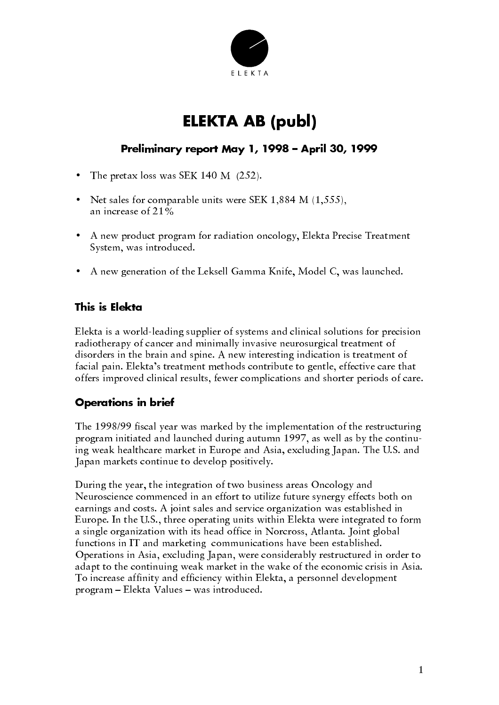

# **ELEKTA AB (publ)**

## Preliminary report May 1, 1998 – April 30, 1999

- The pretax loss was SEK 140 M  $(252)$ .
- Net sales for comparable units were SEK 1,884 M  $(1,555)$ , an increase of 21%
- A new product program for radiation oncology, Elekta Precise Treatment System, was introduced.
- A new generation of the Leksell Gamma Knife, Model C, was launched.

### This is Elekta

Elekta is a world-leading supplier of systems and clinical solutions for precision radiotherapy of cancer and minimally invasive neurosurgical treatment of disorders in the brain and spine. A new interesting indication is treatment of facial pain. Elekta's treatment methods contribute to gentle, effective care that offers improved clinical results, fewer complications and shorter periods of care.

## **Operations in brief**

The 1998/99 fiscal year was marked by the implementation of the restructuring program initiated and launched during autumn 1997, as well as by the continuing weak healthcare market in Europe and Asia, excluding Japan. The U.S. and Japan markets continue to develop positively.

During the year, the integration of two business areas Oncology and Neuroscience commenced in an effort to utilize future synergy effects both on earnings and costs. A joint sales and service organization was established in Europe. In the U.S., three operating units within Elekta were integrated to form a single organization with its head office in Norcross, Atlanta. Joint global functions in IT and marketing communications have been established. Operations in Asia, excluding Japan, were considerably restructured in order to adapt to the continuing weak market in the wake of the economic crisis in Asia. To increase affinity and efficiency within Elekta, a personnel development program - Elekta Values - was introduced.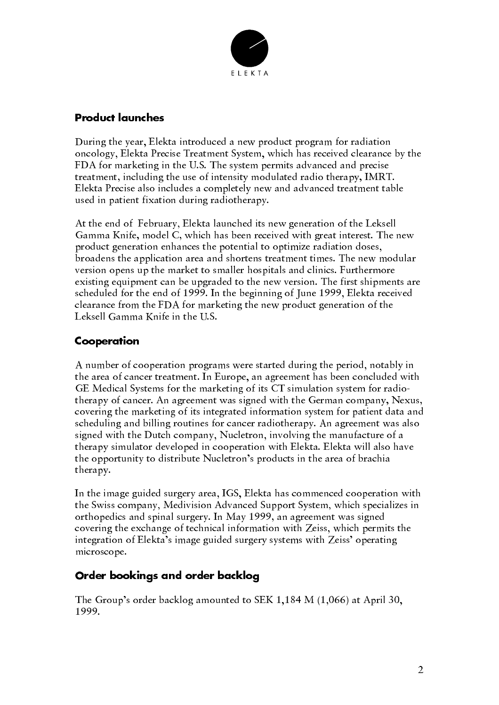

#### **Product launches**

During the year, Elekta introduced a new product program for radiation oncology, Elekta Precise Treatment System, which has received clearance by the FDA for marketing in the U.S. The system permits advanced and precise treatment, including the use of intensity modulated radio therapy, IMRT. Elekta Precise also includes a completely new and advanced treatment table used in patient fixation during radiotherapy.

At the end of February, Elekta launched its new generation of the Leksell Gamma Knife, model C, which has been received with great interest. The new product generation enhances the potential to optimize radiation doses, broadens the application area and shortens treatment times. The new modular version opens up the market to smaller hospitals and clinics. Furthermore existing equipment can be upgraded to the new version. The first shipments are scheduled for the end of 1999. In the beginning of June 1999, Elekta received clearance from the FDA for marketing the new product generation of the Leksell Gamma Knife in the U.S.

## Cooperation

A number of cooperation programs were started during the period, notably in the area of cancer treatment. In Europe, an agreement has been concluded with GE Medical Systems for the marketing of its CT simulation system for radiotherapy of cancer. An agreement was signed with the German company, Nexus, covering the marketing of its integrated information system for patient data and scheduling and billing routines for cancer radiotherapy. An agreement was also signed with the Dutch company, Nucletron, involving the manufacture of a therapy simulator developed in cooperation with Elekta. Elekta will also have the opportunity to distribute Nucletron's products in the area of brachia therapy.

In the image guided surgery area, IGS, Elekta has commenced cooperation with the Swiss company, Medivision Advanced Support System, which specializes in orthopedics and spinal surgery. In May 1999, an agreement was signed covering the exchange of technical information with Zeiss, which permits the integration of Elekta's image guided surgery systems with Zeiss' operating microscope.

## Order bookings and order backlog

The Group's order backlog amounted to SEK 1,184 M  $(1,066)$  at April 30, 1999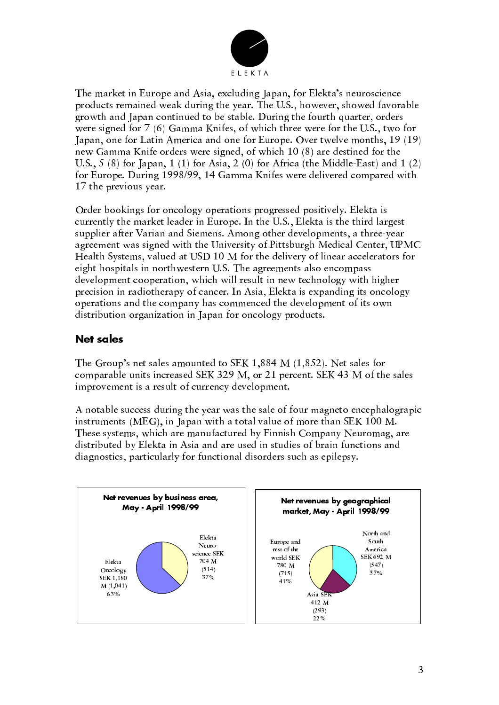

The market in Europe and Asia, excluding Japan, for Elekta's neuroscience products remained weak during the year. The U.S., however, showed favorable growth and Japan continued to be stable. During the fourth quarter, orders were signed for 7 (6) Gamma Knifes, of which three were for the U.S., two for Japan, one for Latin America and one for Europe. Over twelve months, 19 (19) new Gamma Knife orders were signed, of which 10 (8) are destined for the U.S.,  $5(8)$  for Japan, 1 (1) for Asia, 2 (0) for Africa (the Middle-East) and 1 (2) for Europe. During 1998/99, 14 Gamma Knifes were delivered compared with 17 the previous year.

Order bookings for oncology operations progressed positively. Elekta is currently the market leader in Europe. In the U.S., Elekta is the third largest supplier after Varian and Siemens. Among other developments, a three-year agreement was signed with the University of Pittsburgh Medical Center, UPMC Health Systems, valued at USD 10 M for the delivery of linear accelerators for eight hospitals in northwestern U.S. The agreements also encompass development cooperation, which will result in new technology with higher precision in radiotherapy of cancer. In Asia, Elekta is expanding its oncology operations and the company has commenced the development of its own distribution organization in Japan for oncology products.

### **Net sales**

The Group's net sales amounted to SEK 1,884 M (1,852). Net sales for comparable units increased SEK 329 M, or 21 percent. SEK 43 M of the sales improvement is a result of currency development.

A notable success during the year was the sale of four magneto encephalograpic instruments (MEG), in Japan with a total value of more than SEK 100 M. These systems, which are manufactured by Finnish Company Neuromag, are distributed by Elekta in Asia and are used in studies of brain functions and diagnostics, particularly for functional disorders such as epilepsy.

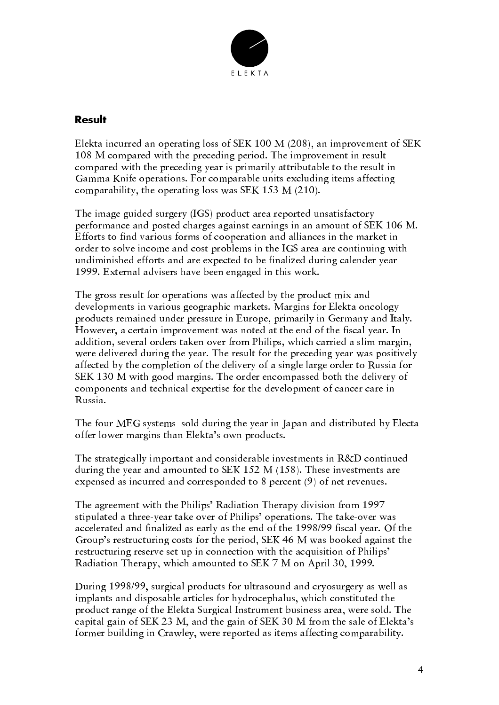

#### Result

Elekta incurred an operating loss of SEK 100 M (208), an improvement of SEK 108 M compared with the preceding period. The improvement in result compared with the preceding year is primarily attributable to the result in Gamma Knife operations. For comparable units excluding items affecting comparability, the operating loss was SEK 153 M (210).

The image guided surgery (IGS) product area reported unsatisfactory performance and posted charges against earnings in an amount of SEK 106 M. Efforts to find various forms of cooperation and alliances in the market in order to solve income and cost problems in the IGS area are continuing with undiminished efforts and are expected to be finalized during calender year 1999. External advisers have been engaged in this work.

The gross result for operations was affected by the product mix and developments in various geographic markets. Margins for Elekta oncology products remained under pressure in Europe, primarily in Germany and Italy. However, a certain improvement was noted at the end of the fiscal year. In addition, several orders taken over from Philips, which carried a slim margin, were delivered during the year. The result for the preceding year was positively affected by the completion of the delivery of a single large order to Russia for SEK 130 M with good margins. The order encompassed both the delivery of components and technical expertise for the development of cancer care in Russia.

The four MEG systems sold during the year in Japan and distributed by Electa offer lower margins than Elekta's own products.

The strategically important and considerable investments in R&D continued during the year and amounted to SEK 152 M  $(158)$ . These investments are expensed as incurred and corresponded to 8 percent (9) of net revenues.

The agreement with the Philips' Radiation Therapy division from 1997 stipulated a three-year take over of Philips' operations. The take-over was accelerated and finalized as early as the end of the 1998/99 fiscal year. Of the Group's restructuring costs for the period, SEK 46 M was booked against the restructuring reserve set up in connection with the acquisition of Philips' Radiation Therapy, which amounted to SEK 7 M on April 30, 1999.

During 1998/99, surgical products for ultrasound and cryosurgery as well as implants and disposable articles for hydrocephalus, which constituted the product range of the Elekta Surgical Instrument business area, were sold. The capital gain of SEK 23 M, and the gain of SEK 30 M from the sale of Elekta's former building in Crawley, were reported as items affecting comparability.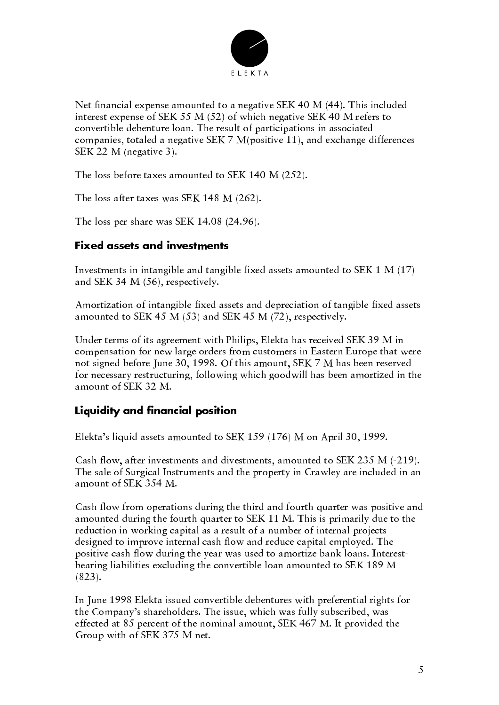

Net financial expense amounted to a negative SEK 40 M (44). This included interest expense of SEK 55 M (52) of which negative SEK 40 M refers to convertible debenture loan. The result of participations in associated companies, totaled a negative SEK 7 M(positive 11), and exchange differences SEK 22 M (negative 3).

The loss before taxes amounted to SEK 140 M (252).

The loss after taxes was SEK 148 M (262).

The loss per share was SEK 14.08 (24.96).

#### **Fixed assets and investments**

Investments in intangible and tangible fixed assets amounted to SEK  $1 M (17)$ and SEK 34 M  $(56)$ , respectively.

Amortization of intangible fixed assets and depreciation of tangible fixed assets amounted to SEK 45 M (53) and SEK 45 M (72), respectively.

Under terms of its agreement with Philips, Elekta has received SEK 39 M in compensation for new large orders from customers in Eastern Europe that were not signed before June 30, 1998. Of this amount, SEK 7 M has been reserved for necessary restructuring, following which goodwill has been amortized in the amount of SEK 32 M.

#### Liquidity and financial position

Elekta's liquid assets amounted to SEK 159 (176) M on April 30, 1999.

Cash flow, after investments and divestments, amounted to SEK 235 M (-219). The sale of Surgical Instruments and the property in Crawley are included in an amount of SEK 354 M.

Cash flow from operations during the third and fourth quarter was positive and amounted during the fourth quarter to SEK 11 M. This is primarily due to the reduction in working capital as a result of a number of internal projects designed to improve internal cash flow and reduce capital employed. The positive cash flow during the year was used to amortize bank loans. Interestbearing liabilities excluding the convertible loan amounted to SEK 189 M  $(823).$ 

In June 1998 Elekta issued convertible debentures with preferential rights for the Company's shareholders. The issue, which was fully subscribed, was effected at 85 percent of the nominal amount, SEK 467 M. It provided the Group with of SEK 375 M net.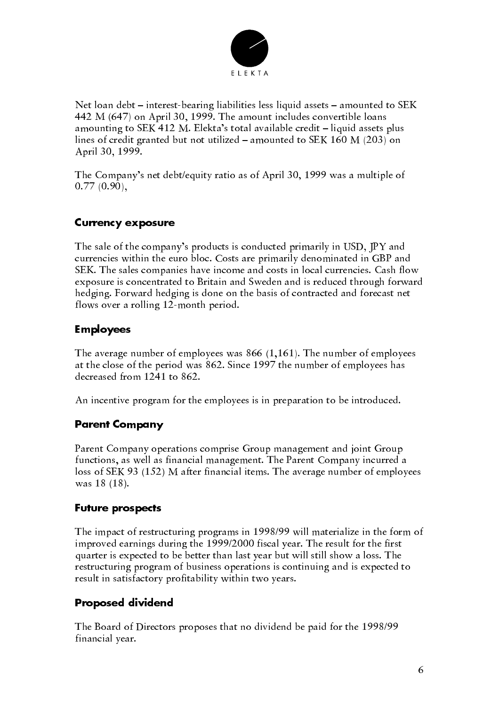

Net loan debt - interest-bearing liabilities less liquid assets - amounted to SEK 442 M (647) on April 30, 1999. The amount includes convertible loans amounting to SEK 412 M. Elekta's total available credit – liquid assets plus lines of credit granted but not utilized – amounted to SEK 160 M (203) on April 30, 1999.

The Company's net debt/equity ratio as of April 30, 1999 was a multiple of  $0.77(0.90),$ 

#### **Currency exposure**

The sale of the company's products is conducted primarily in USD, IPY and currencies within the euro bloc. Costs are primarily denominated in GBP and SEK. The sales companies have income and costs in local currencies. Cash flow exposure is concentrated to Britain and Sweden and is reduced through forward hedging. Forward hedging is done on the basis of contracted and forecast net flows over a rolling 12-month period.

#### **Employees**

The average number of employees was  $866$  (1,161). The number of employees at the close of the period was 862. Since 1997 the number of employees has decreased from 1241 to 862.

An incentive program for the employees is in preparation to be introduced.

## **Parent Company**

Parent Company operations comprise Group management and joint Group functions, as well as financial management. The Parent Company incurred a loss of SEK 93 (152) M after financial items. The average number of employees was 18 (18).

#### **Future prospects**

The impact of restructuring programs in 1998/99 will materialize in the form of improved earnings during the 1999/2000 fiscal year. The result for the first quarter is expected to be better than last year but will still show a loss. The restructuring program of business operations is continuing and is expected to result in satisfactory profitability within two years.

#### **Proposed dividend**

The Board of Directors proposes that no dividend be paid for the 1998/99 financial year.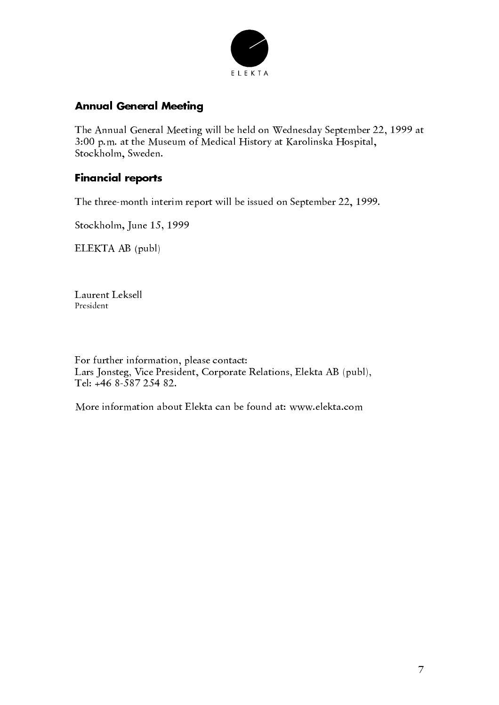

## **Annual General Meeting**

The Annual General Meeting will be held on Wednesday September 22, 1999 at 3:00 p.m. at the Museum of Medical History at Karolinska Hospital, Stockholm, Sweden.

### **Financial reports**

The three-month interim report will be issued on September 22, 1999.

Stockholm, June 15, 1999

ELEKTA AB (publ)

Laurent Leksell President

For further information, please contact: Lars Jonsteg, Vice President, Corporate Relations, Elekta AB (publ), Tel: +46 8-587 254 82.

More information about Elekta can be found at: www.elekta.com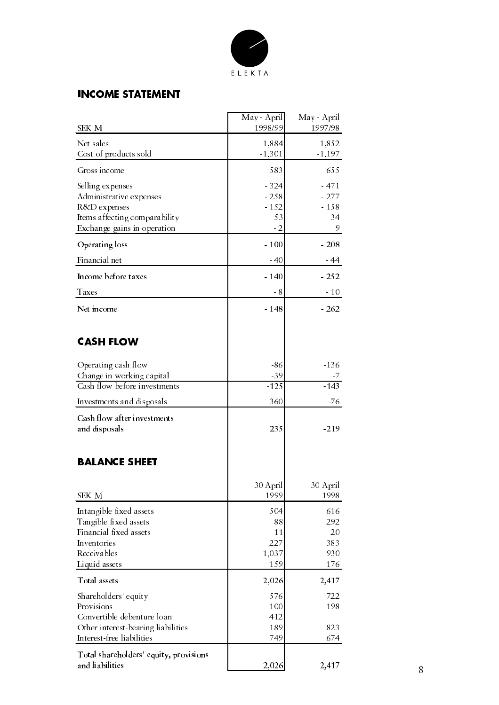

## **INCOME STATEMENT**

| SEK M                                                                                                                               | May - April<br>1998/99                   | May - April<br>1997/98                |
|-------------------------------------------------------------------------------------------------------------------------------------|------------------------------------------|---------------------------------------|
| Net sales<br>Cost of products sold                                                                                                  | 1,884<br>$-1,301$                        | 1,852<br>$-1,197$                     |
| Gross income                                                                                                                        | 583                                      | 655                                   |
| Selling expenses<br>Administrative expenses<br>R&D expenses<br>Items affecting comparability<br>Exchange gains in operation         | $-324$<br>$-258$<br>$-152$<br>53<br>$-2$ | $-471$<br>$-277$<br>$-158$<br>34<br>9 |
| Operating loss                                                                                                                      | $-100$                                   | $-208$                                |
| Financial net                                                                                                                       | $-40$                                    | $-44$                                 |
| Income before taxes                                                                                                                 | $-140$                                   | $-252$                                |
| Taxes                                                                                                                               | - 8                                      | $-10$                                 |
| Net income                                                                                                                          | $-148$                                   | $-262$                                |
| <b>CASH FLOW</b>                                                                                                                    |                                          |                                       |
| Operating cash flow<br>Change in working capital                                                                                    | $-86$<br>$-39$                           | $-136$                                |
| Cash flow before investments                                                                                                        | $-125$                                   | $-143$                                |
| Investments and disposals                                                                                                           | 360                                      | $-76$                                 |
| Cash flow after investments<br>and disposals                                                                                        | 235                                      | $-219$                                |
| <b>BALANCE SHEET</b>                                                                                                                |                                          |                                       |
| SEK M                                                                                                                               | 30 April<br>1999                         | 30 April<br>1998                      |
| Intangible fixed assets<br>Tangible fixed assets<br>Financial fixed assets<br>Inventories<br>Receivables<br>Liquid assets           | 504<br>88<br>11<br>227<br>1,037<br>159   | 616<br>292<br>20<br>383<br>930<br>176 |
| Total assets                                                                                                                        | 2,026                                    | 2,417                                 |
| Shareholders' equity<br>Provisions<br>Convertible debenture loan<br>Other interest-bearing liabilities<br>Interest-free liabilities | 576<br>100<br>412<br>189<br>749          | 722<br>198<br>823<br>674              |
| Total shareholders' equity, provisions<br>and liabilities                                                                           | 2,026                                    | 2,417                                 |